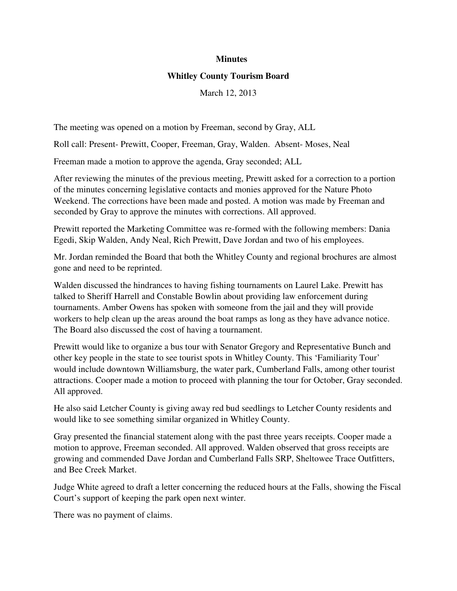## **Minutes**

## **Whitley County Tourism Board**

March 12, 2013

The meeting was opened on a motion by Freeman, second by Gray, ALL

Roll call: Present- Prewitt, Cooper, Freeman, Gray, Walden. Absent- Moses, Neal

Freeman made a motion to approve the agenda, Gray seconded; ALL

After reviewing the minutes of the previous meeting, Prewitt asked for a correction to a portion of the minutes concerning legislative contacts and monies approved for the Nature Photo Weekend. The corrections have been made and posted. A motion was made by Freeman and seconded by Gray to approve the minutes with corrections. All approved.

Prewitt reported the Marketing Committee was re-formed with the following members: Dania Egedi, Skip Walden, Andy Neal, Rich Prewitt, Dave Jordan and two of his employees.

Mr. Jordan reminded the Board that both the Whitley County and regional brochures are almost gone and need to be reprinted.

Walden discussed the hindrances to having fishing tournaments on Laurel Lake. Prewitt has talked to Sheriff Harrell and Constable Bowlin about providing law enforcement during tournaments. Amber Owens has spoken with someone from the jail and they will provide workers to help clean up the areas around the boat ramps as long as they have advance notice. The Board also discussed the cost of having a tournament.

Prewitt would like to organize a bus tour with Senator Gregory and Representative Bunch and other key people in the state to see tourist spots in Whitley County. This 'Familiarity Tour' would include downtown Williamsburg, the water park, Cumberland Falls, among other tourist attractions. Cooper made a motion to proceed with planning the tour for October, Gray seconded. All approved.

He also said Letcher County is giving away red bud seedlings to Letcher County residents and would like to see something similar organized in Whitley County.

Gray presented the financial statement along with the past three years receipts. Cooper made a motion to approve, Freeman seconded. All approved. Walden observed that gross receipts are growing and commended Dave Jordan and Cumberland Falls SRP, Sheltowee Trace Outfitters, and Bee Creek Market.

Judge White agreed to draft a letter concerning the reduced hours at the Falls, showing the Fiscal Court's support of keeping the park open next winter.

There was no payment of claims.